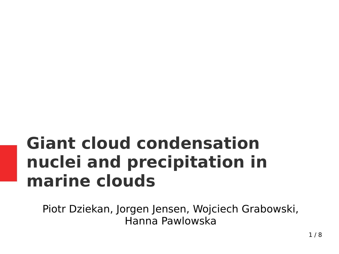#### **Giant cloud condensation nuclei and precipitation in marine clouds**

Piotr Dziekan, Jorgen Jensen, Wojciech Grabowski, Hanna Pawlowska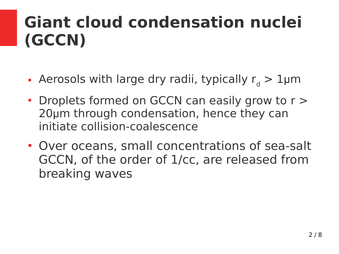#### **Giant cloud condensation nuclei (GCCN)**

- Aerosols with large dry radii, typically  $r_d > 1$ µm
- $\cdot$  Droplets formed on GCCN can easily grow to  $r >$ 20μm through condensation, hence they can initiate collision-coalescence
- Over oceans, small concentrations of sea-salt GCCN, of the order of 1/cc, are released from breaking waves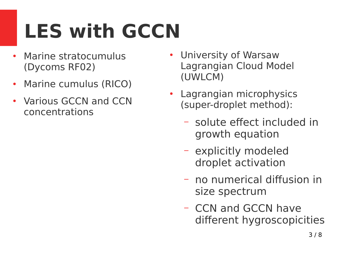# **LES with GCCN**

- Marine stratocumulus (Dycoms RF02)
- Marine cumulus (RICO)
- Various GCCN and CCN concentrations
- University of Warsaw Lagrangian Cloud Model (UWLCM)
- Lagrangian microphysics (super-droplet method):
	- solute effect included in growth equation
	- explicitly modeled droplet activation
	- no numerical diffusion in size spectrum
	- CCN and GCCN have different hygroscopicities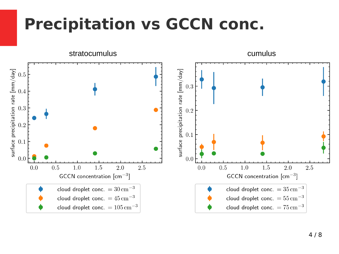#### **Precipitation vs GCCN conc.**

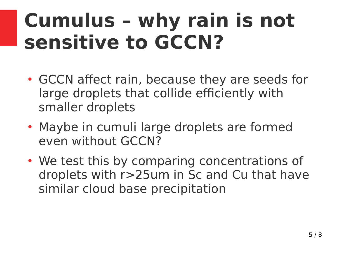### **Cumulus – why rain is not sensitive to GCCN?**

- GCCN affect rain, because they are seeds for large droplets that collide efficiently with smaller droplets
- Maybe in cumuli large droplets are formed even without GCCN?
- We test this by comparing concentrations of droplets with r>25um in Sc and Cu that have similar cloud base precipitation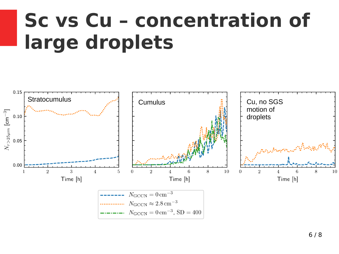### **Sc vs Cu – concentration of large droplets**

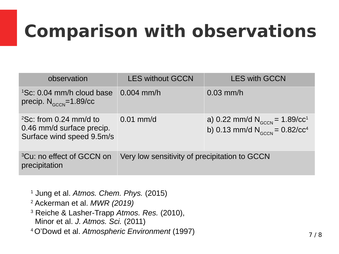### **Comparison with observations**

| observation                                                                         | <b>LES without GCCN</b>                       | <b>LES with GCCN</b>                                                                        |
|-------------------------------------------------------------------------------------|-----------------------------------------------|---------------------------------------------------------------------------------------------|
| ${}^{1}$ Sc: 0.04 mm/h cloud base<br>precip. $N_{GCCN} = 1.89/CC$                   | $0.004$ mm/h                                  | $0.03$ mm/h                                                                                 |
| $2$ Sc: from 0.24 mm/d to<br>0.46 mm/d surface precip.<br>Surface wind speed 9.5m/s | $0.01 \text{ mm/d}$                           | a) 0.22 mm/d $N_{\text{GCCN}}$ = 1.89/cc <sup>1</sup><br>b) 0.13 mm/d $N_{GCCN} = 0.82/CC4$ |
| <sup>3</sup> Cu: no effect of GCCN on<br>precipitation                              | Very low sensitivity of precipitation to GCCN |                                                                                             |

 Jung et al. *Atmos. Chem. Phys.* (2015) Ackerman et al. *MWR (2019)* Reiche & Lasher-Trapp *Atmos. Res.* (2010), Minor et al. *J. Atmos. Sci.* (2011) O'Dowd et al. *Atmospheric Environment* (1997)